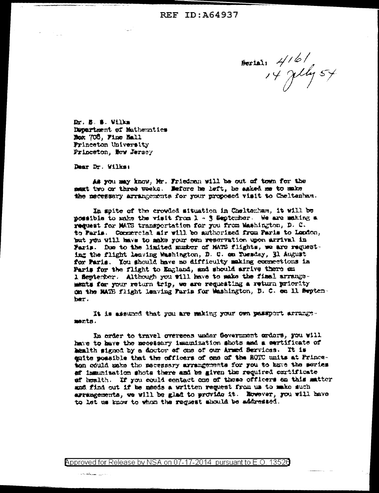Besiai, 416/<br>14 July 54

Dr. B. B. Villa Department of Mathematics Nox 708, Fine Hall Frinceton University Frinceton, New Jersey

Dear Dr. Wilks:

an <del>shekara ya shekara</del>

As you may know, Mr. Friedman will be out of town for the ment two or three weeks. Nefore he left, he asked me to make the necessary arrangements for your proposed visit to Cheltanham.

In spite of the crowled situation in Cheltonham, it will be possible to make the visit from 1 - 3 September. We are making a request for MATS transportation for you from Washington, D. C. to Faris. Compercial air will be authorized from Faris to London, but you will have to make your own reservation upon arrival in Faris. Due to the limited muster of MATS flights, we are requesting the flight leaving Washington, D. C. on Tuesday, 31 August for Paris. You should have no difficulty making connections in Paris for the flight to England, and should arrive there on 1 September. Although you will have to make the final arrangements for your return trip, we are requesting a return priority on the MATE flight leaving Paris for Washington, D. C. en 11 Swytenber.

It is assumed that you are making your own passport arrangements.

In order to travel oversees under Government orders, you will have to have the messionry immunization shots and a sertificate of health signed by a doctor of one of our Armed Services. It is enite possible that the officers of one of the ROTC units at Princeton could make the necessary arrangements for you to have the series af immunization shots there and be given the required cartificate of busith. If you could contact one of these officers on this matter and find out if be medds a written request from us to make such arrangements, we will be glad to provide it. However, you will have to let us know to whom the request should be addressed.